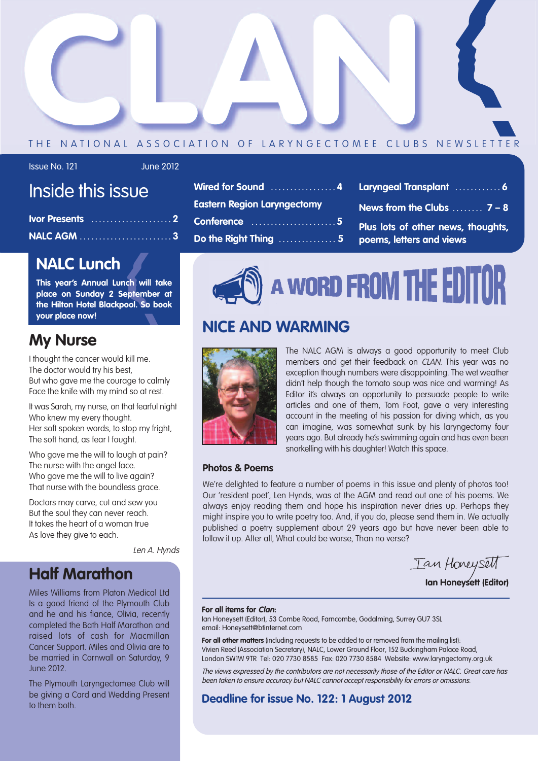

## THE NATIONAL ASSOCIATION OF LARYNGECTOMEE CLUBS NEWSLETTER

## Issue No. 121 June 2012

# Inside this issue

## **NALC Lunch**

**This year's Annual Lunch will take place on Sunday 2 September at the Hilton Hotel Blackpool. So book your place now!**

## **My Nurse**

I thought the cancer would kill me. The doctor would try his best, But who gave me the courage to calmly Face the knife with my mind so at rest.

It was Sarah, my nurse, on that fearful night Who knew my every thought. Her soft spoken words, to stop my fright, The soft hand, as fear I fought.

Who gave me the will to laugh at pain? The nurse with the angel face. Who gave me the will to live again? That nurse with the boundless grace.

Doctors may carve, cut and sew you But the soul they can never reach. It takes the heart of a woman true As love they give to each.

Len A. Hynds

# **Half Marathon**

Miles Williams from Platon Medical Ltd Is a good friend of the Plymouth Club and he and his fiance, Olivia, recently completed the Bath Half Marathon and raised lots of cash for Macmillan Cancer Support. Miles and Olivia are to be married in Cornwall on Saturday, 9 June 2012.

The Plymouth Laryngectomee Club will be giving a Card and Wedding Present to them both.

| Wired for Sound  4 Los             |           |
|------------------------------------|-----------|
| <b>Eastern Region Laryngectomy</b> | <b>N</b>  |
| Conference 5                       | <b>PI</b> |
| Do the Right Thing  5 p            |           |

- **Laryngeal Transplant . . . . . . . . . . . . 6**
- **News from the Clubs . . . . . . . . 7 8**
- **Plus lots of other news, thoughts, poems, letters and views**
- 

# A WORD FROM THE EDIT

## **NICE AND WARMING**



The NALC AGM is always a good opportunity to meet Club members and get their feedback on CLAN. This year was no exception though numbers were disappointing. The wet weather didn't help though the tomato soup was nice and warming! As Editor it's always an opportunity to persuade people to write articles and one of them, Tom Foot, gave a very interesting account in the meeting of his passion for diving which, as you can imagine, was somewhat sunk by his laryngectomy four years ago. But already he's swimming again and has even been snorkelling with his daughter! Watch this space.

## **Photos & Poems**

We're delighted to feature a number of poems in this issue and plenty of photos too! Our 'resident poet', Len Hynds, was at the AGM and read out one of his poems. We always enjoy reading them and hope his inspiration never dries up. Perhaps they might inspire you to write poetry too. And, if you do, please send them in. We actually published a poetry supplement about 29 years ago but have never been able to follow it up. After all, What could be worse, Than no verse?

Tan Honeysett **Ian Honeysett (Editor)**

#### **For all items for Clan:**

Ian Honeysett (Editor), 53 Combe Road, Farncombe, Godalming, Surrey GU7 3SL email: Honeysett@btinternet.com

**For all other matters** (including requests to be added to or removed from the mailing list): Vivien Reed (Association Secretary), NALC, Lower Ground Floor, 152 Buckingham Palace Road, London SW1W 9TR Tel: 020 7730 8585 Fax: 020 7730 8584 Website: www.laryngectomy.org.uk

The views expressed by the contributors are not necessarily those of the Editor or NALC. Great care has been taken to ensure accuracy but NALC cannot accept responsibility for errors or omissions.

**Deadline for issue No. 122: 1 August 2012**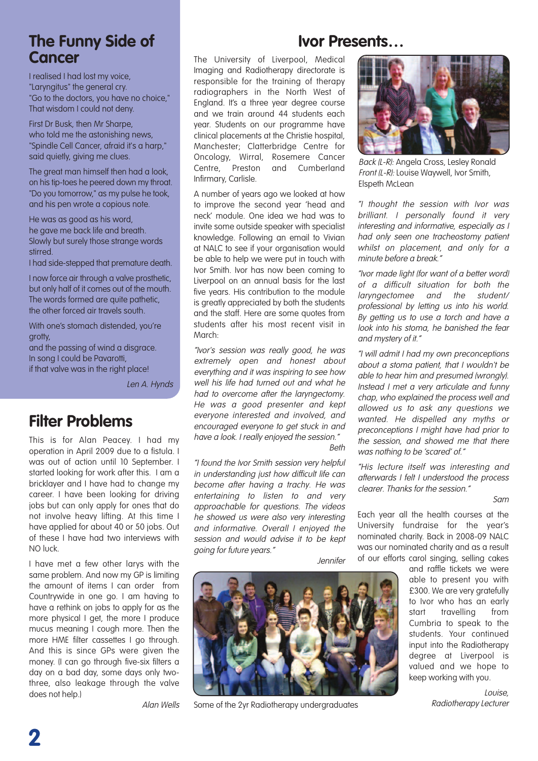## **The Funny Side of Cancer**

I realised I had lost my voice, "Laryngitus" the general cry. "Go to the doctors, you have no choice," That wisdom I could not deny.

First Dr Busk, then Mr Sharpe, who told me the astonishing news. "Spindle Cell Cancer, afraid it's a harp," said quietly, giving me clues.

The great man himself then had a look, on his tip-toes he peered down my throat. "Do you tomorrow," as my pulse he took, and his pen wrote a copious note.

He was as good as his word, he gave me back life and breath. Slowly but surely those strange words stirred.

I had side-stepped that premature death.

I now force air through a valve prosthetic, but only half of it comes out of the mouth. The words formed are quite pathetic, the other forced air travels south.

With one's stomach distended, you're arotty,

and the passing of wind a disgrace. In song I could be Pavarotti, if that valve was in the right place!

Len A. Hynds

## **Filter Problems**

This is for Alan Peacey. I had my operation in April 2009 due to a fistula. I was out of action until 10 September. I started looking for work after this. I am a bricklayer and I have had to change my career. I have been looking for driving jobs but can only apply for ones that do not involve heavy lifting. At this time I have applied for about 40 or 50 jobs. Out of these I have had two interviews with NO luck.

I have met a few other larys with the same problem. And now my GP is limiting the amount of items I can order from Countrywide in one go. I am having to have a rethink on jobs to apply for as the more physical I get, the more I produce mucus meaning I cough more. Then the more HME filter cassettes I go through. And this is since GPs were given the money. (I can go through five-six filters a day on a bad day, some days only twothree, also leakage through the valve does not help.)

Alan Wells

## **Ivor Presents…**

The University of Liverpool, Medical Imaging and Radiotherapy directorate is responsible for the training of therapy radiographers in the North West of England. It's a three year degree course and we train around 44 students each year. Students on our programme have clinical placements at the Christie hospital, Manchester; Clatterbridge Centre for Oncology, Wirral, Rosemere Cancer Centre, Preston and Cumberland Infirmary, Carlisle.

A number of years ago we looked at how to improve the second year 'head and neck' module. One idea we had was to invite some outside speaker with specialist knowledge. Following an email to Vivian at NALC to see if your organisation would be able to help we were put in touch with Ivor Smith. Ivor has now been coming to Liverpool on an annual basis for the last five years. His contribution to the module is greatly appreciated by both the students and the staff. Here are some quotes from students after his most recent visit in March:

"Ivor's session was really good, he was extremely open and honest about everything and it was inspiring to see how well his life had turned out and what he had to overcome after the laryngectomy. He was <sup>a</sup> good presenter and kept everyone interested and involved, and encouraged everyone to get stuck in and have a look. I really enjoyed the session."

Beth

"I found the Ivor Smith session very helpful in understanding just how difficult life can become after having <sup>a</sup> trachy. He was entertaining to listen to and very approachable for questions. The videos he showed us were also very interesting and informative. Overall I enjoyed the session and would advise it to be kept going for future years."

**Jennifer** 



Some of the 2yr Radiotherapy undergraduates



Back (L-R): Angela Cross, Lesley Ronald Front (L-R): Louise Waywell, Ivor Smith, Elspeth McLean

"I thought the session with Ivor was brilliant. I personally found it very interesting and informative, especially as I had only seen one tracheostomy patient whilst on placement, and only for a minute before <sup>a</sup> break."

"Ivor made light (for want of <sup>a</sup> better word) of <sup>a</sup> difficult situation for both the laryngectomee and the student/ professional by letting us into his world. By getting us to use <sup>a</sup> torch and have <sup>a</sup> look into his stoma, he banished the fear and mystery of it."

"I will admit I had my own preconceptions about <sup>a</sup> stoma patient, that I wouldn't be able to hear him and presumed (wrongly). Instead I met <sup>a</sup> very articulate and funny chap, who explained the process well and allowed us to ask any questions we wanted. He dispelled any myths or preconceptions I might have had prior to the session, and showed me that there was nothing to be 'scared' of."

"His lecture itself was interesting and afterwards I felt I understood the process clearer. Thanks for the session."

Sam

Each year all the health courses at the University fundraise for the year's nominated charity. Back in 2008-09 NALC was our nominated charity and as a result of our efforts carol singing, selling cakes

> and raffle tickets we were able to present you with £300. We are very gratefully to Ivor who has an early start travelling from Cumbria to speak to the students. Your continued input into the Radiotherapy degree at Liverpool is valued and we hope to keep working with you.

> > Louise, Radiotherapy Lecturer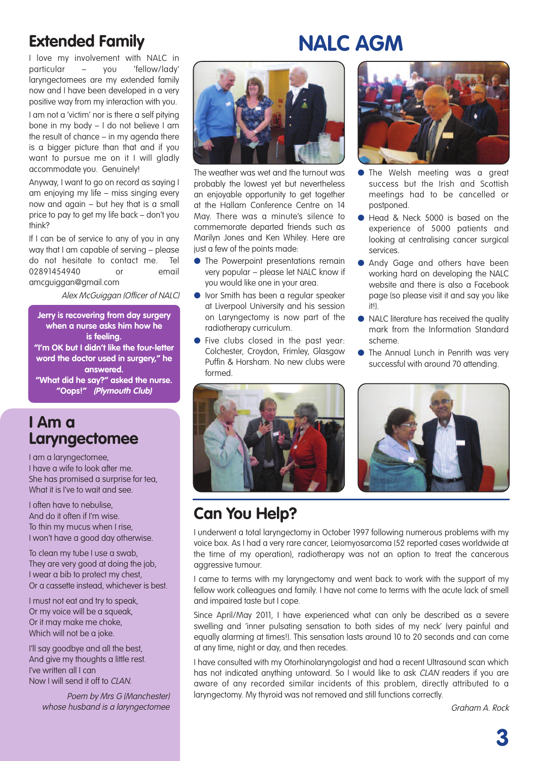# **Extended Family**

**NALC AGM**

I love my involvement with NALC in particular – you 'fellow/lady' laryngectomees are my extended family now and I have been developed in a very positive way from my interaction with you.

I am not a 'victim' nor is there a self pitying bone in my body – I do not believe I am the result of chance – in my agenda there is a bigger picture than that and if you want to pursue me on it I will gladly accommodate you. Genuinely!

Anyway, I want to go on record as saying I am enjoying my life – miss singing every now and again – but hey that is a small price to pay to get my life back – don't you think?

If I can be of service to any of you in any way that I am capable of serving – please do not hesitate to contact me. Tel 02891454940 or email amcguiggan@gmail.com

Alex McGuiggan (Officer of NALC)

**Jerry is recovering from day surgery when a nurse asks him how he is feeling. "I'm OK but I didn't like the four-letter word the doctor used in surgery," he answered. "What did he say?" asked the nurse. "Oops!" (Plymouth Club)**

## **I Am a Laryngectomee**

I am a laryngectomee, I have a wife to look after me. She has promised a surprise for tea, What it is I've to wait and see.

I often have to nebulise, And do it often if I'm wise. To thin my mucus when I rise, I won't have a good day otherwise.

To clean my tube I use a swab, They are very good at doing the job, I wear a bib to protect my chest, Or a cassette instead, whichever is best.

I must not eat and try to speak, Or my voice will be a squeak, Or it may make me choke, Which will not be a joke.

I'll say goodbye and all the best, And give my thoughts a little rest. I've written all I can Now I will send it off to CLAN.

> Poem by Mrs G (Manchester) whose husband is a laryngectomee



The weather was wet and the turnout was probably the lowest yet but nevertheless an enjoyable opportunity to get together at the Hallam Conference Centre on 14 May. There was a minute's silence to commemorate departed friends such as Marilyn Jones and Ken Whiley. Here are just a few of the points made:

- **●** The Powerpoint presentations remain very popular – please let NALC know if you would like one in your area.
- **●** Ivor Smith has been a regular speaker at Liverpool University and his session on Laryngectomy is now part of the radiotherapy curriculum.
- **●** Five clubs closed in the past year: Colchester, Croydon, Frimley, Glasgow Puffin & Horsham. No new clubs were formed.



- **●** The Welsh meeting was a great success but the Irish and Scottish meetings had to be cancelled or postponed.
- **●** Head & Neck 5000 is based on the experience of 5000 patients and looking at centralising cancer surgical services.
- **●** Andy Gage and others have been working hard on developing the NALC website and there is also a Facebook page (so please visit it and say you like it!).
- NALC literature has received the quality mark from the Information Standard scheme.
- **●** The Annual Lunch in Penrith was very successful with around 70 attending.







I underwent a total laryngectomy in October 1997 following numerous problems with my voice box. As I had a very rare cancer, Leiomyosarcoma (52 reported cases worldwide at the time of my operation), radiotherapy was not an option to treat the cancerous aggressive tumour.

I came to terms with my laryngectomy and went back to work with the support of my fellow work colleagues and family. I have not come to terms with the acute lack of smell and impaired taste but I cope.

Since April/May 2011, I have experienced what can only be described as a severe swelling and 'inner pulsating sensation to both sides of my neck' (very painful and equally alarming at times!). This sensation lasts around 10 to 20 seconds and can come at any time, night or day, and then recedes.

I have consulted with my Otorhinolaryngologist and had a recent Ultrasound scan which has not indicated anything untoward. So I would like to ask CLAN readers if you are aware of any recorded similar incidents of this problem, directly attributed to a laryngectomy. My thyroid was not removed and still functions correctly.

Graham A. Rock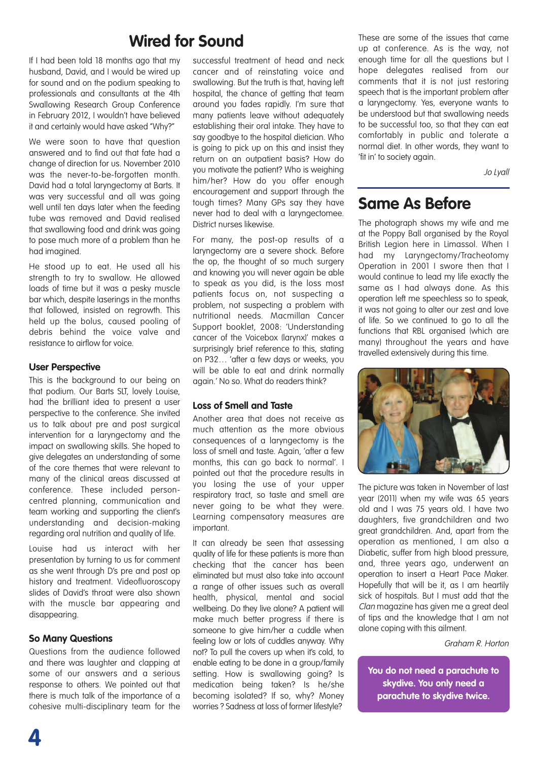## **Wired for Sound**

If I had been told 18 months ago that my husband, David, and I would be wired up for sound and on the podium speaking to professionals and consultants at the 4th Swallowing Research Group Conference in February 2012, I wouldn't have believed it and certainly would have asked "Why?"

We were soon to have that question answered and to find out that fate had a change of direction for us. November 2010 was the never-to-be-forgotten month. David had a total laryngectomy at Barts. It was very successful and all was going well until ten days later when the feeding tube was removed and David realised that swallowing food and drink was going to pose much more of a problem than he had imagined.

He stood up to eat. He used all his strength to try to swallow. He allowed loads of time but it was a pesky muscle bar which, despite laserings in the months that followed, insisted on regrowth. This held up the bolus, caused pooling of debris behind the voice valve and resistance to airflow for voice.

### **User Perspective**

This is the background to our being on that podium. Our Barts SLT, lovely Louise, had the brilliant idea to present a user perspective to the conference. She invited us to talk about pre and post surgical intervention for a laryngectomy and the impact on swallowing skills. She hoped to give delegates an understanding of some of the core themes that were relevant to many of the clinical areas discussed at conference. These included personcentred planning, communication and team working and supporting the client's understanding and decision-making regarding oral nutrition and quality of life.

Louise had us interact with her presentation by turning to us for comment as she went through D's pre and post op history and treatment. Videofluoroscopy slides of David's throat were also shown with the muscle bar appearing and disappearing.

### **So Many Questions**

Questions from the audience followed and there was laughter and clapping at some of our answers and a serious response to others. We pointed out that there is much talk of the importance of a cohesive multi-disciplinary team for the

successful treatment of head and neck cancer and of reinstating voice and swallowing. But the truth is that, having left hospital, the chance of getting that team around you fades rapidly. I'm sure that many patients leave without adequately establishing their oral intake. They have to say goodbye to the hospital dietician. Who is going to pick up on this and insist they return on an outpatient basis? How do you motivate the patient? Who is weighing him/her? How do you offer enough encouragement and support through the tough times? Many GPs say they have never had to deal with a laryngectomee. District nurses likewise.

For many, the post-op results of a laryngectomy are a severe shock. Before the op, the thought of so much surgery and knowing you will never again be able to speak as you did, is the loss most patients focus on, not suspecting a problem, not suspecting a problem with nutritional needs. Macmillan Cancer Support booklet, 2008: 'Understanding cancer of the Voicebox (larynx)' makes a surprisingly brief reference to this, stating on P32… 'after a few days or weeks, you will be able to eat and drink normally again.' No so. What do readers think?

## **Loss of Smell and Taste**

Another area that does not receive as much attention as the more obvious consequences of a laryngectomy is the loss of smell and taste. Again, 'after a few months, this can go back to normal'. I pointed out that the procedure results in you losing the use of your upper respiratory tract, so taste and smell are never going to be what they were. Learning compensatory measures are important.

It can already be seen that assessing quality of life for these patients is more than checking that the cancer has been eliminated but must also take into account a range of other issues such as overall health, physical, mental and social wellbeing. Do they live alone? A patient will make much better progress if there is someone to give him/her a cuddle when feeling low or lots of cuddles anyway. Why not? To pull the covers up when it's cold, to enable eating to be done in a group/family setting. How is swallowing going? Is medication being taken? Is he/she becoming isolated? If so, why? Money worries ? Sadness at loss of former lifestyle?

These are some of the issues that came up at conference. As is the way, not enough time for all the questions but I hope delegates realised from our comments that it is not just restoring speech that is the important problem after a laryngectomy. Yes, everyone wants to be understood but that swallowing needs to be successful too, so that they can eat comfortably in public and tolerate a normal diet. In other words, they want to 'fit in' to society again.

Jo Lyall

## **Same As Before**

The photograph shows my wife and me at the Poppy Ball organised by the Royal British Legion here in Limassol. When I had my Laryngectomy/Tracheotomy Operation in 2001 I swore then that I would continue to lead my life exactly the same as I had always done. As this operation left me speechless so to speak, it was not going to alter our zest and love of life. So we continued to go to all the functions that RBL organised (which are many) throughout the years and have travelled extensively during this time.



The picture was taken in November of last year (2011) when my wife was 65 years old and I was 75 years old. I have two daughters, five grandchildren and two great grandchildren. And, apart from the operation as mentioned, I am also a Diabetic, suffer from high blood pressure, and, three years ago, underwent an operation to insert a Heart Pace Maker. Hopefully that will be it, as I am heartily sick of hospitals. But I must add that the Clan magazine has given me a great deal of tips and the knowledge that I am not alone coping with this ailment.

Graham R. Horton

**You do not need a parachute to skydive. You only need a parachute to skydive twice.**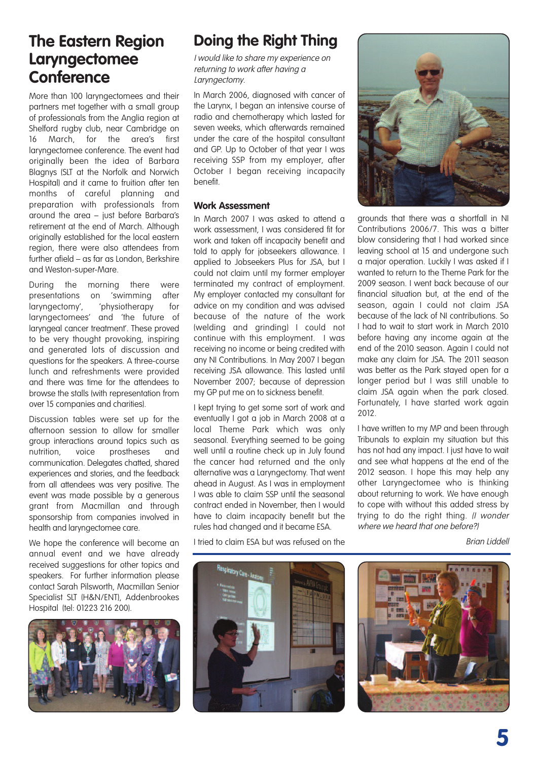## **The Eastern Region Laryngectomee Conference**

More than 100 laryngectomees and their partners met together with a small group of professionals from the Anglia region at Shelford rugby club, near Cambridge on 16 March, for the area's first laryngectomee conference. The event had originally been the idea of Barbara Blagnys (SLT at the Norfolk and Norwich Hospital) and it came to fruition after ten months of careful planning and preparation with professionals from around the area – just before Barbara's retirement at the end of March. Although originally established for the local eastern region, there were also attendees from further afield – as far as London, Berkshire and Weston-super-Mare.

During the morning there were presentations on 'swimming after laryngectomy', 'physiotherapy for laryngectomees' and 'the future of laryngeal cancer treatment'. These proved to be very thought provoking, inspiring and generated lots of discussion and questions for the speakers. A three-course lunch and refreshments were provided and there was time for the attendees to browse the stalls (with representation from over 15 companies and charities).

Discussion tables were set up for the afternoon session to allow for smaller group interactions around topics such as nutrition, voice prostheses and communication. Delegates chatted, shared experiences and stories, and the feedback from all attendees was very positive. The event was made possible by a generous grant from Macmillan and through sponsorship from companies involved in health and laryngectomee care.

We hope the conference will become an annual event and we have already received suggestions for other topics and speakers. For further information please contact Sarah Pilsworth, Macmillan Senior Specialist SLT (H&N/ENT), Addenbrookes Hospital (tel: 01223 216 200).



# **Doing the Right Thing**

I would like to share my experience on returning to work after having <sup>a</sup> Laryngectomy.

In March 2006, diagnosed with cancer of the Larynx, I began an intensive course of radio and chemotherapy which lasted for seven weeks, which afterwards remained under the care of the hospital consultant and GP. Up to October of that year I was receiving SSP from my employer, after October I began receiving incapacity benefit.

### **Work Assessment**

In March 2007 I was asked to attend a work assessment, I was considered fit for work and taken off incapacity benefit and told to apply for jobseekers allowance. I applied to Jobseekers Plus for JSA, but I could not claim until my former employer terminated my contract of employment. My employer contacted my consultant for advice on my condition and was advised because of the nature of the work (welding and grinding) I could not continue with this employment. I was receiving no income or being credited with any NI Contributions. In May 2007 I began receiving JSA allowance. This lasted until November 2007; because of depression my GP put me on to sickness benefit.

I kept trying to get some sort of work and eventually I got a job in March 2008 at a local Theme Park which was only seasonal. Everything seemed to be going well until a routine check up in July found the cancer had returned and the only alternative was a Laryngectomy. That went ahead in August. As I was in employment I was able to claim SSP until the seasonal contract ended in November, then I would have to claim incapacity benefit but the rules had changed and it became ESA.

I tried to claim ESA but was refused on the



grounds that there was a shortfall in NI Contributions 2006/7. This was a bitter blow considering that I had worked since leaving school at 15 and undergone such a major operation. Luckily I was asked if I wanted to return to the Theme Park for the 2009 season. I went back because of our financial situation but, at the end of the season, again I could not claim JSA because of the lack of NI contributions. So I had to wait to start work in March 2010 before having any income again at the end of the 2010 season. Again I could not make any claim for JSA. The 2011 season was better as the Park stayed open for a longer period but I was still unable to claim JSA again when the park closed. Fortunately, I have started work again 2012.

I have written to my MP and been through Tribunals to explain my situation but this has not had any impact. I just have to wait and see what happens at the end of the 2012 season. I hope this may help any other Laryngectomee who is thinking about returning to work. We have enough to cope with without this added stress by trying to do the right thing. *Il wonder* where we heard that one before?)

Brian Liddell



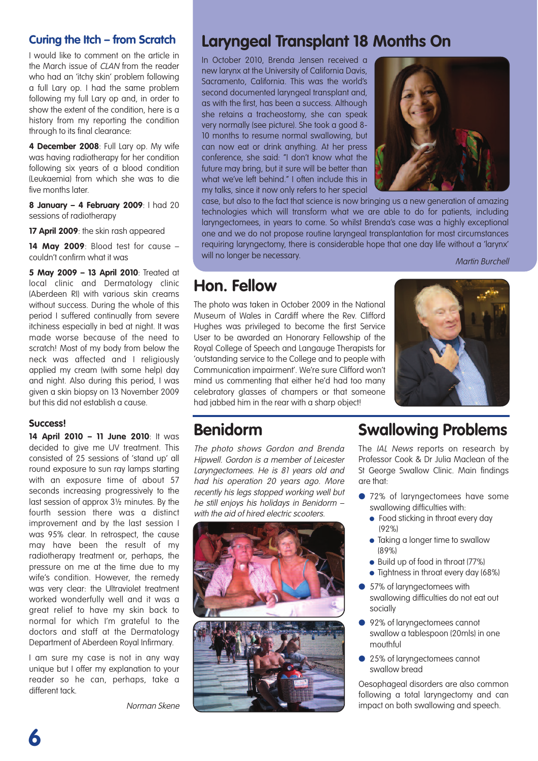## **Curing the Itch – from Scratch**

I would like to comment on the article in the March issue of CLAN from the reader who had an 'itchy skin' problem following a full Lary op. I had the same problem following my full Lary op and, in order to show the extent of the condition, here is a history from my reporting the condition through to its final clearance:

**4 December 2008**: Full Lary op. My wife was having radiotherapy for her condition following six years of a blood condition (Leukaemia) from which she was to die five months later.

**8 January – 4 February 2009**: I had 20 sessions of radiotherapy

**17 April 2009**: the skin rash appeared

**14 May 2009**: Blood test for cause – couldn't confirm what it was

**5 May 2009 – 13 April 2010**: Treated at local clinic and Dermatology clinic (Aberdeen RI) with various skin creams without success. During the whole of this period I suffered continually from severe itchiness especially in bed at night. It was made worse because of the need to scratch! Most of my body from below the neck was affected and I religiously applied my cream (with some help) day and night. Also during this period, I was given a skin biopsy on 13 November 2009 but this did not establish a cause.

### **Success!**

**14 April 2010 – 11 June 2010**: It was decided to give me UV treatment. This consisted of 25 sessions of 'stand up' all round exposure to sun ray lamps starting with an exposure time of about 57 seconds increasing progressively to the last session of approx 3½ minutes. By the fourth session there was a distinct improvement and by the last session I was 95% clear. In retrospect, the cause may have been the result of my radiotherapy treatment or, perhaps, the pressure on me at the time due to my wife's condition. However, the remedy was very clear: the Ultraviolet treatment worked wonderfully well and it was a great relief to have my skin back to normal for which I'm grateful to the doctors and staff at the Dermatology Department of Aberdeen Royal Infirmary.

I am sure my case is not in any way unique but I offer my explanation to your reader so he can, perhaps, take a different tack.

Norman Skene

## **Laryngeal Transplant 18 Months On**

In October 2010, Brenda Jensen received a new larynx at the University of California Davis, Sacramento, California. This was the world's second documented laryngeal transplant and, as with the first, has been a success. Although she retains a tracheostomy, she can speak very normally (see picture). She took a good 8- 10 months to resume normal swallowing, but can now eat or drink anything. At her press conference, she said: "I don't know what the future may bring, but it sure will be better than what we've left behind." I often include this in my talks, since it now only refers to her special



case, but also to the fact that science is now bringing us a new generation of amazing technologies which will transform what we are able to do for patients, including laryngectomees, in years to come. So whilst Brenda's case was a highly exceptional one and we do not propose routine laryngeal transplantation for most circumstances requiring laryngectomy, there is considerable hope that one day life without a 'larynx' will no longer be necessary.<br>Martin Burchell

## **Hon. Fellow**

The photo was taken in October 2009 in the National Museum of Wales in Cardiff where the Rev. Clifford Hughes was privileged to become the first Service User to be awarded an Honorary Fellowship of the Royal College of Speech and Langauge Therapists for 'outstanding service to the College and to people with Communication impairment'. We're sure Clifford won't mind us commenting that either he'd had too many celebratory glasses of champers or that someone had jabbed him in the rear with a sharp object!



## **Benidorm**

The photo shows Gordon and Brenda Hipwell. Gordon is <sup>a</sup> member of Leicester Laryngectomees. He is 81 years old and had his operation 20 years ago. More recently his legs stopped working well but he still enjoys his holidays in Benidorm with the aid of hired electric scooters.



# **Swallowing Problems**

The IAL News reports on research by Professor Cook & Dr Julia Maclean of the St George Swallow Clinic. Main findings are that:

- **●** 72% of laryngectomees have some swallowing difficulties with:
	- Food sticking in throat every day (92%)
	- **●** Taking a longer time to swallow (89%)
	- **●** Build up of food in throat (77%)
	- **●** Tightness in throat every day (68%)
- **●** 57% of laryngectomees with swallowing difficulties do not eat out socially
- **●** 92% of laryngectomees cannot swallow a tablespoon (20mls) in one mouthful
- **●** 25% of laryngectomees cannot swallow bread

Oesophageal disorders are also common following a total laryngectomy and can impact on both swallowing and speech.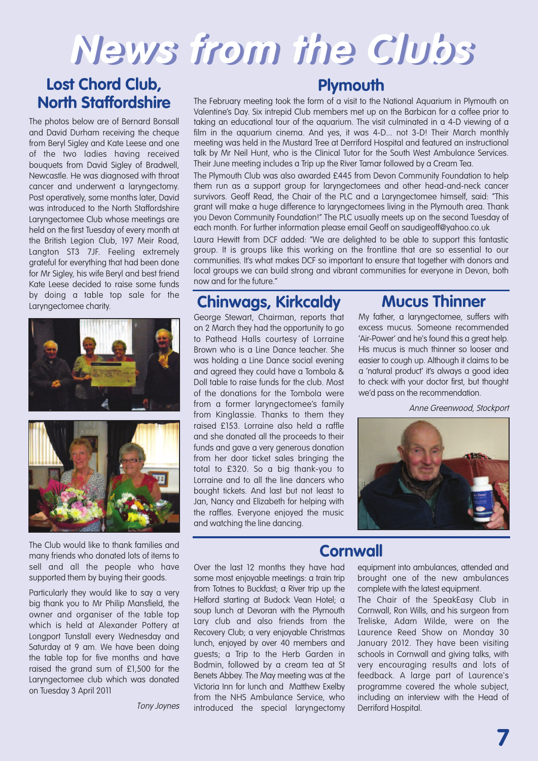# **News from the Clubs**

## **Lost Chord Club, North Staffordshire**

The photos below are of Bernard Bonsall and David Durham receiving the cheque from Beryl Sigley and Kate Leese and one of the two ladies having received bouquets from David Sigley of Bradwell, Newcastle. He was diagnosed with throat cancer and underwent a laryngectomy. Post operatively, some months later, David was introduced to the North Staffordshire Laryngectomee Club whose meetings are held on the first Tuesday of every month at the British Legion Club, 197 Meir Road, Langton ST3 7JF. Feeling extremely grateful for everything that had been done for Mr Sigley, his wife Beryl and best friend Kate Leese decided to raise some funds by doing a table top sale for the Laryngectomee charity.



The Club would like to thank families and many friends who donated lots of items to sell and all the people who have supported them by buying their goods.

Particularly they would like to say a very big thank you to Mr Philip Mansfield, the owner and organiser of the table top which is held at Alexander Pottery at Longport Tunstall every Wednesday and Saturday at 9 am. We have been doing the table top for five months and have raised the grand sum of £1,500 for the Laryngectomee club which was donated on Tuesday 3 April 2011

Tony Joynes

## **Plymouth**

The February meeting took the form of a visit to the National Aquarium in Plymouth on Valentine's Day. Six intrepid Club members met up on the Barbican for a coffee prior to taking an educational tour of the aquarium. The visit culminated in a 4-D viewing of a film in the aquarium cinema. And yes, it was 4-D... not 3-D! Their March monthly meeting was held in the Mustard Tree at Derriford Hospital and featured an instructional talk by Mr Neil Hunt, who is the Clinical Tutor for the South West Ambulance Services. Their June meeting includes a Trip up the River Tamar followed by a Cream Tea.

The Plymouth Club was also awarded £445 from Devon Community Foundation to help them run as a support group for laryngectomees and other head-and-neck cancer survivors. Geoff Read, the Chair of the PLC and a Laryngectomee himself, said: "This grant will make a huge difference to laryngectomees living in the Plymouth area. Thank you Devon Community Foundation!" The PLC usually meets up on the second Tuesday of each month. For further information please email Geoff on saudigeoff@yahoo.co.uk

Laura Hewitt from DCF added: "We are delighted to be able to support this fantastic group. It is groups like this working on the frontline that are so essential to our communities. It's what makes DCF so important to ensure that together with donors and local groups we can build strong and vibrant communities for everyone in Devon, both now and for the future."

## **Chinwags, Kirkcaldy**

George Stewart, Chairman, reports that on 2 March they had the opportunity to go to Pathead Halls courtesy of Lorraine Brown who is a Line Dance teacher. She was holding a Line Dance social evening and agreed they could have a Tombola & Doll table to raise funds for the club. Most of the donations for the Tombola were from a former laryngectomee's family from Kinglassie. Thanks to them they raised £153. Lorraine also held a raffle and she donated all the proceeds to their funds and gave a very generous donation from her door ticket sales bringing the total to £320. So a big thank-you to Lorraine and to all the line dancers who bought tickets. And last but not least to Jan, Nancy and Elizabeth for helping with the raffles. Everyone enjoyed the music and watching the line dancing.

## **Mucus Thinner**

My father, a laryngectomee, suffers with excess mucus. Someone recommended 'Air-Power' and he's found this a great help. His mucus is much thinner so looser and easier to cough up. Although it claims to be a 'natural product' it's always a good idea to check with your doctor first, but thought we'd pass on the recommendation.

Anne Greenwood, Stockport



## **Cornwall**

Over the last 12 months they have had some most enjoyable meetings: a train trip from Totnes to Buckfast; a River trip up the Helford starting at Budock Vean Hotel; a soup lunch at Devoran with the Plymouth Lary club and also friends from the Recovery Club; a very enjoyable Christmas lunch, enjoyed by over 40 members and guests; a Trip to the Herb Garden in Bodmin, followed by a cream tea at St Benets Abbey. The May meeting was at the Victoria Inn for lunch and Matthew Exelby from the NHS Ambulance Service, who introduced the special laryngectomy

equipment into ambulances, attended and brought one of the new ambulances complete with the latest equipment.

The Chair of the SpeakEasy Club in Cornwall, Ron Wills, and his surgeon from Treliske, Adam Wilde, were on the Laurence Reed Show on Monday 30 January 2012. They have been visiting schools in Cornwall and giving talks, with very encouraging results and lots of feedback. A large part of Laurence's programme covered the whole subject, including an interview with the Head of Derriford Hospital.